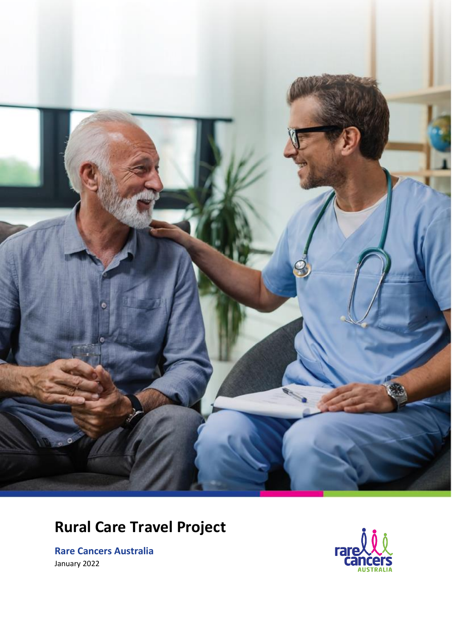

# **Rural Care Travel Project**

**Rare Cancers Australia** January 2022

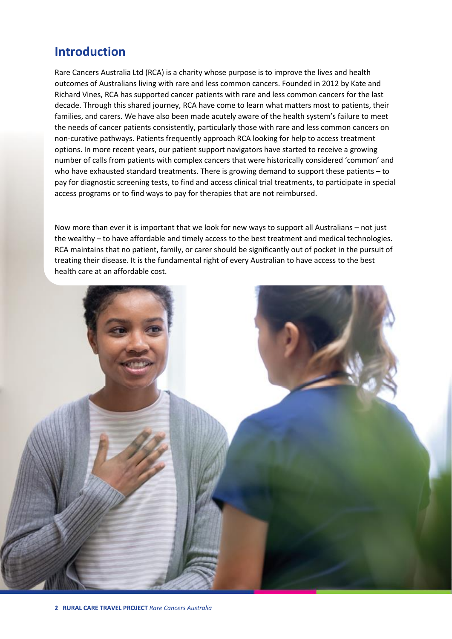## **Introduction**

Rare Cancers Australia Ltd (RCA) is a charity whose purpose is to improve the lives and health outcomes of Australians living with rare and less common cancers. Founded in 2012 by Kate and Richard Vines, RCA has supported cancer patients with rare and less common cancers for the last decade. Through this shared journey, RCA have come to learn what matters most to patients, their families, and carers. We have also been made acutely aware of the health system's failure to meet the needs of cancer patients consistently, particularly those with rare and less common cancers on non-curative pathways. Patients frequently approach RCA looking for help to access treatment options. In more recent years, our patient support navigators have started to receive a growing number of calls from patients with complex cancers that were historically considered 'common' and who have exhausted standard treatments. There is growing demand to support these patients – to pay for diagnostic screening tests, to find and access clinical trial treatments, to participate in special access programs or to find ways to pay for therapies that are not reimbursed.

Now more than ever it is important that we look for new ways to support all Australians – not just the wealthy – to have affordable and timely access to the best treatment and medical technologies. RCA maintains that no patient, family, or carer should be significantly out of pocket in the pursuit of treating their disease. It is the fundamental right of every Australian to have access to the best health care at an affordable cost.

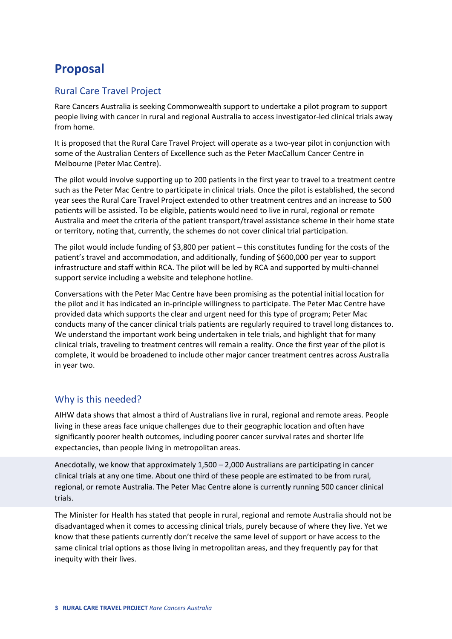# **Proposal**

## Rural Care Travel Project

Rare Cancers Australia is seeking Commonwealth support to undertake a pilot program to support people living with cancer in rural and regional Australia to access investigator-led clinical trials away from home.

It is proposed that the Rural Care Travel Project will operate as a two-year pilot in conjunction with some of the Australian Centers of Excellence such as the Peter MacCallum Cancer Centre in Melbourne (Peter Mac Centre).

The pilot would involve supporting up to 200 patients in the first year to travel to a treatment centre such as the Peter Mac Centre to participate in clinical trials. Once the pilot is established, the second year sees the Rural Care Travel Project extended to other treatment centres and an increase to 500 patients will be assisted. To be eligible, patients would need to live in rural, regional or remote Australia and meet the criteria of the patient transport/travel assistance scheme in their home state or territory, noting that, currently, the schemes do not cover clinical trial participation.

The pilot would include funding of \$3,800 per patient – this constitutes funding for the costs of the patient's travel and accommodation, and additionally, funding of \$600,000 per year to support infrastructure and staff within RCA. The pilot will be led by RCA and supported by multi-channel support service including a website and telephone hotline.

Conversations with the Peter Mac Centre have been promising as the potential initial location for the pilot and it has indicated an in-principle willingness to participate. The Peter Mac Centre have provided data which supports the clear and urgent need for this type of program; Peter Mac conducts many of the cancer clinical trials patients are regularly required to travel long distances to. We understand the important work being undertaken in tele trials, and highlight that for many clinical trials, traveling to treatment centres will remain a reality. Once the first year of the pilot is complete, it would be broadened to include other major cancer treatment centres across Australia in year two.

## Why is this needed?

AIHW data shows that almost a third of Australians live in rural, regional and remote areas. People living in these areas face unique challenges due to their geographic location and often have significantly poorer health outcomes, including poorer cancer survival rates and shorter life expectancies, than people living in metropolitan areas.

Anecdotally, we know that approximately  $1,500 - 2,000$  Australians are participating in cancer clinical trials at any one time. About one third of these people are estimated to be from rural, regional, or remote Australia. The Peter Mac Centre alone is currently running 500 cancer clinical trials.

The Minister for Health has stated that people in rural, regional and remote Australia should not be disadvantaged when it comes to accessing clinical trials, purely because of where they live. Yet we know that these patients currently don't receive the same level of support or have access to the same clinical trial options as those living in metropolitan areas, and they frequently pay for that inequity with their lives.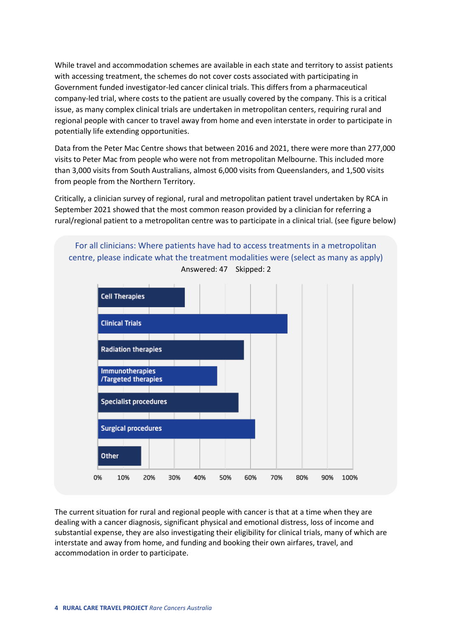While travel and accommodation schemes are available in each state and territory to assist patients with accessing treatment, the schemes do not cover costs associated with participating in Government funded investigator-led cancer clinical trials. This differs from a pharmaceutical company-led trial, where costs to the patient are usually covered by the company. This is a critical issue, as many complex clinical trials are undertaken in metropolitan centers, requiring rural and regional people with cancer to travel away from home and even interstate in order to participate in potentially life extending opportunities.

Data from the Peter Mac Centre shows that between 2016 and 2021, there were more than 277,000 visits to Peter Mac from people who were not from metropolitan Melbourne. This included more than 3,000 visits from South Australians, almost 6,000 visits from Queenslanders, and 1,500 visits from people from the Northern Territory.

Critically, a clinician survey of regional, rural and metropolitan patient travel undertaken by RCA in September 2021 showed that the most common reason provided by a clinician for referring a rural/regional patient to a metropolitan centre was to participate in a clinical trial. (see figure below)



The current situation for rural and regional people with cancer is that at a time when they are dealing with a cancer diagnosis, significant physical and emotional distress, loss of income and substantial expense, they are also investigating their eligibility for clinical trials, many of which are interstate and away from home, and funding and booking their own airfares, travel, and accommodation in order to participate.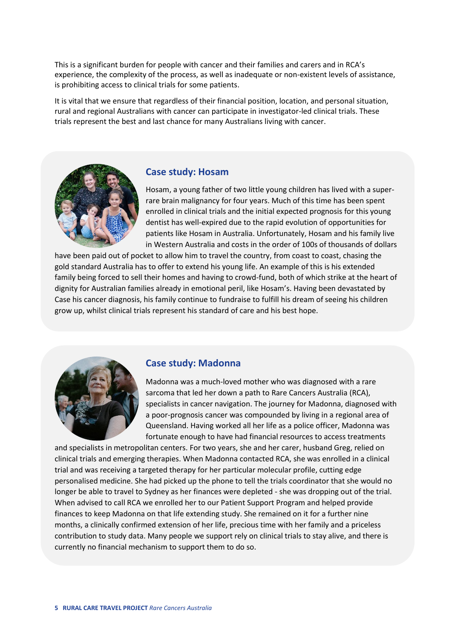This is a significant burden for people with cancer and their families and carers and in RCA's experience, the complexity of the process, as well as inadequate or non-existent levels of assistance, is prohibiting access to clinical trials for some patients.

It is vital that we ensure that regardless of their financial position, location, and personal situation, rural and regional Australians with cancer can participate in investigator-led clinical trials. These trials represent the best and last chance for many Australians living with cancer.



#### **Case study: Hosam**

Hosam, a young father of two little young children has lived with a superrare brain malignancy for four years. Much of this time has been spent enrolled in clinical trials and the initial expected prognosis for this young dentist has well-expired due to the rapid evolution of opportunities for patients like Hosam in Australia. Unfortunately, Hosam and his family live in Western Australia and costs in the order of 100s of thousands of dollars

have been paid out of pocket to allow him to travel the country, from coast to coast, chasing the gold standard Australia has to offer to extend his young life. An example of this is his extended family being forced to sell their homes and having to crowd-fund, both of which strike at the heart of dignity for Australian families already in emotional peril, like Hosam's. Having been devastated by Case his cancer diagnosis, his family continue to fundraise to fulfill his dream of seeing his children grow up, whilst clinical trials represent his standard of care and his best hope.



#### **Case study: Madonna**

Madonna was a much-loved mother who was diagnosed with a rare sarcoma that led her down a path to Rare Cancers Australia (RCA), specialists in cancer navigation. The journey for Madonna, diagnosed with a poor-prognosis cancer was compounded by living in a regional area of Queensland. Having worked all her life as a police officer, Madonna was fortunate enough to have had financial resources to access treatments

and specialists in metropolitan centers. For two years, she and her carer, husband Greg, relied on clinical trials and emerging therapies. When Madonna contacted RCA, she was enrolled in a clinical trial and was receiving a targeted therapy for her particular molecular profile, cutting edge personalised medicine. She had picked up the phone to tell the trials coordinator that she would no longer be able to travel to Sydney as her finances were depleted - she was dropping out of the trial. When advised to call RCA we enrolled her to our Patient Support Program and helped provide finances to keep Madonna on that life extending study. She remained on it for a further nine months, a clinically confirmed extension of her life, precious time with her family and a priceless contribution to study data. Many people we support rely on clinical trials to stay alive, and there is currently no financial mechanism to support them to do so.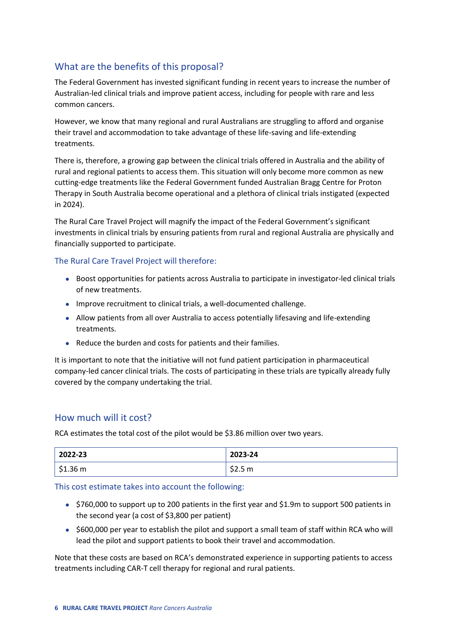## What are the benefits of this proposal?

The Federal Government has invested significant funding in recent years to increase the number of Australian-led clinical trials and improve patient access, including for people with rare and less common cancers.

However, we know that many regional and rural Australians are struggling to afford and organise their travel and accommodation to take advantage of these life-saving and life-extending treatments.

There is, therefore, a growing gap between the clinical trials offered in Australia and the ability of rural and regional patients to access them. This situation will only become more common as new cutting-edge treatments like the Federal Government funded Australian Bragg Centre for Proton Therapy in South Australia become operational and a plethora of clinical trials instigated (expected in 2024).

The Rural Care Travel Project will magnify the impact of the Federal Government's significant investments in clinical trials by ensuring patients from rural and regional Australia are physically and financially supported to participate.

## The Rural Care Travel Project will therefore:

- Boost opportunities for patients across Australia to participate in investigator-led clinical trials of new treatments.
- Improve recruitment to clinical trials, a well-documented challenge.
- Allow patients from all over Australia to access potentially lifesaving and life-extending treatments.
- Reduce the burden and costs for patients and their families.

It is important to note that the initiative will not fund patient participation in pharmaceutical company-led cancer clinical trials. The costs of participating in these trials are typically already fully covered by the company undertaking the trial.

## How much will it cost?

RCA estimates the total cost of the pilot would be \$3.86 million over two years.

| 2022-23                | 2023-24 |
|------------------------|---------|
| $\frac{1}{2}$ \$1.36 m | \$2.5 m |

#### This cost estimate takes into account the following:

- \$760,000 to support up to 200 patients in the first year and \$1.9m to support 500 patients in the second year (a cost of \$3,800 per patient)
- \$600,000 per year to establish the pilot and support a small team of staff within RCA who will lead the pilot and support patients to book their travel and accommodation.

Note that these costs are based on RCA's demonstrated experience in supporting patients to access treatments including CAR-T cell therapy for regional and rural patients.